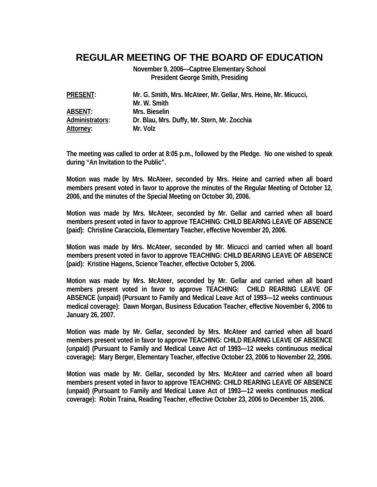## **REGULAR MEETING OF THE BOARD OF EDUCATION**

**November 9, 2006—Captree Elementary School President George Smith, Presiding** 

**PRESENT: Mr. G. Smith, Mrs. McAteer, Mr. Gellar, Mrs. Heine, Mr. Micucci, Mr. W. Smith ABSENT: Mrs. Bieselin Administrators: Dr. Blau, Mrs. Duffy, Mr. Stern, Mr. Zocchia Attorney: Mr. Volz** 

**The meeting was called to order at 8:05 p.m., followed by the Pledge. No one wished to speak during "An Invitation to the Public".** 

**Motion was made by Mrs. McAteer, seconded by Mrs. Heine and carried when all board members present voted in favor to approve the minutes of the Regular Meeting of October 12, 2006, and the minutes of the Special Meeting on October 30, 2006.** 

**Motion was made by Mrs. McAteer, seconded by Mr. Gellar and carried when all board members present voted in favor to approve TEACHING: CHILD BEARING LEAVE OF ABSENCE (paid): Christine Caracciola, Elementary Teacher, effective November 20, 2006.** 

**Motion was made by Mrs. McAteer, seconded by Mr. Micucci and carried when all board members present voted in favor to approve TEACHING: CHILD BEARING LEAVE OF ABSENCE (paid): Kristine Hagens, Science Teacher, effective October 5, 2006.** 

**Motion was made by Mrs. McAteer, seconded by Mr. Gellar and carried when all board members present voted in favor to approve TEACHING: CHILD REARING LEAVE OF ABSENCE (unpaid) (Pursuant to Family and Medical Leave Act of 1993—12 weeks continuous medical coverage): Dawn Morgan, Business Education Teacher, effective November 6, 2006 to January 26, 2007.** 

**Motion was made by Mr. Gellar, seconded by Mrs. McAteer and carried when all board members present voted in favor to approve TEACHING: CHILD REARING LEAVE OF ABSENCE (unpaid) (Pursuant to Family and Medical Leave Act of 1993—12 weeks continuous medical coverage): Mary Berger, Elementary Teacher, effective October 23, 2006 to November 22, 2006.** 

**Motion was made by Mr. Gellar, seconded by Mrs. McAteer and carried when all board members present voted in favor to approve TEACHING: CHILD REARING LEAVE OF ABSENCE (unpaid) (Pursuant to Family and Medical Leave Act of 1993—12 weeks continuous medical coverage): Robin Traina, Reading Teacher, effective October 23, 2006 to December 15, 2006.**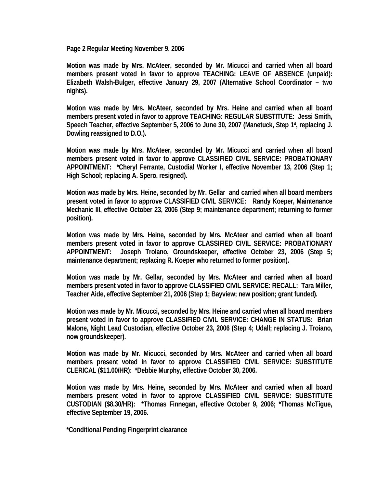**Page 2 Regular Meeting November 9, 2006** 

**Motion was made by Mrs. McAteer, seconded by Mr. Micucci and carried when all board members present voted in favor to approve TEACHING: LEAVE OF ABSENCE (unpaid): Elizabeth Walsh-Bulger, effective January 29, 2007 (Alternative School Coordinator – two nights).** 

**Motion was made by Mrs. McAteer, seconded by Mrs. Heine and carried when all board members present voted in favor to approve TEACHING: REGULAR SUBSTITUTE: Jessi Smith, Speech Teacher, effective September 5, 2006 to June 30, 2007 (Manetuck, Step 14, replacing J. Dowling reassigned to D.O.).** 

**Motion was made by Mrs. McAteer, seconded by Mr. Micucci and carried when all board members present voted in favor to approve CLASSIFIED CIVIL SERVICE: PROBATIONARY APPOINTMENT: \*Cheryl Ferrante, Custodial Worker I, effective November 13, 2006 (Step 1; High School; replacing A. Spero, resigned).** 

**Motion was made by Mrs. Heine, seconded by Mr. Gellar and carried when all board members present voted in favor to approve CLASSIFIED CIVIL SERVICE: Randy Koeper, Maintenance Mechanic III, effective October 23, 2006 (Step 9; maintenance department; returning to former position).** 

**Motion was made by Mrs. Heine, seconded by Mrs. McAteer and carried when all board members present voted in favor to approve CLASSIFIED CIVIL SERVICE: PROBATIONARY APPOINTMENT: Joseph Troiano, Groundskeeper, effective October 23, 2006 (Step 5; maintenance department; replacing R. Koeper who returned to former position).** 

**Motion was made by Mr. Gellar, seconded by Mrs. McAteer and carried when all board members present voted in favor to approve CLASSIFIED CIVIL SERVICE: RECALL: Tara Miller, Teacher Aide, effective September 21, 2006 (Step 1; Bayview; new position; grant funded).** 

**Motion was made by Mr. Micucci, seconded by Mrs. Heine and carried when all board members present voted in favor to approve CLASSIFIED CIVIL SERVICE: CHANGE IN STATUS: Brian Malone, Night Lead Custodian, effective October 23, 2006 (Step 4; Udall; replacing J. Troiano, now groundskeeper).** 

**Motion was made by Mr. Micucci, seconded by Mrs. McAteer and carried when all board members present voted in favor to approve CLASSIFIED CIVIL SERVICE: SUBSTITUTE CLERICAL (\$11.00/HR): \*Debbie Murphy, effective October 30, 2006.** 

**Motion was made by Mrs. Heine, seconded by Mrs. McAteer and carried when all board members present voted in favor to approve CLASSIFIED CIVIL SERVICE: SUBSTITUTE CUSTODIAN (\$8.30/HR): \*Thomas Finnegan, effective October 9, 2006; \*Thomas McTigue, effective September 19, 2006.** 

**\*Conditional Pending Fingerprint clearance**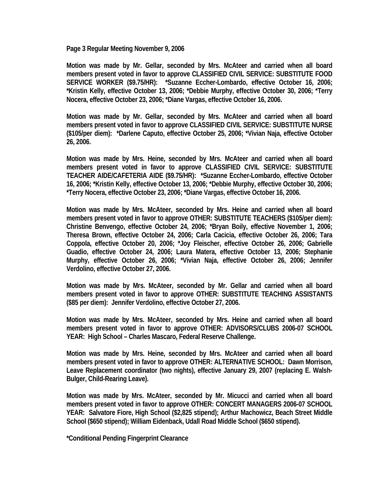**Page 3 Regular Meeting November 9, 2006** 

**Motion was made by Mr. Gellar, seconded by Mrs. McAteer and carried when all board members present voted in favor to approve CLASSIFIED CIVIL SERVICE: SUBSTITUTE FOOD SERVICE WORKER (\$9.75/HR): \*Suzanne Eccher-Lombardo, effective October 16, 2006; \*Kristin Kelly, effective October 13, 2006; \*Debbie Murphy, effective October 30, 2006; \*Terry Nocera, effective October 23, 2006; \*Diane Vargas, effective October 16, 2006.** 

**Motion was made by Mr. Gellar, seconded by Mrs. McAteer and carried when all board members present voted in favor to approve CLASSIFIED CIVIL SERVICE: SUBSTITUTE NURSE (\$105/per diem): \*Darlene Caputo, effective October 25, 2006; \*Vivian Naja, effective October 26, 2006.** 

**Motion was made by Mrs. Heine, seconded by Mrs. McAteer and carried when all board members present voted in favor to approve CLASSIFIED CIVIL SERVICE: SUBSTITUTE TEACHER AIDE/CAFETERIA AIDE (\$9.75/HR): \*Suzanne Eccher-Lombardo, effective October 16, 2006; \*Kristin Kelly, effective October 13, 2006; \*Debbie Murphy, effective October 30, 2006; \*Terry Nocera, effective October 23, 2006; \*Diane Vargas, effective October 16, 2006.** 

**Motion was made by Mrs. McAteer, seconded by Mrs. Heine and carried when all board members present voted in favor to approve OTHER: SUBSTITUTE TEACHERS (\$105/per diem): Christine Benvengo, effective October 24, 2006; \*Bryan Boily, effective November 1, 2006; Theresa Brown, effective October 24, 2006; Carla Cacicia, effective October 26, 2006; Tara Coppola, effective October 20, 2006; \*Joy Fleischer, effective October 26, 2006; Gabrielle Guadio, effective October 24, 2006; Laura Matera, effective October 13, 2006; Stephanie Murphy, effective October 26, 2006; \*Vivian Naja, effective October 26, 2006; Jennifer Verdolino, effective October 27, 2006.** 

**Motion was made by Mrs. McAteer, seconded by Mr. Gellar and carried when all board members present voted in favor to approve OTHER: SUBSTITUTE TEACHING ASSISTANTS (\$85 per diem): Jennifer Verdolino, effective October 27, 2006.** 

**Motion was made by Mrs. McAteer, seconded by Mrs. Heine and carried when all board members present voted in favor to approve OTHER: ADVISORS/CLUBS 2006-07 SCHOOL YEAR: High School – Charles Mascaro, Federal Reserve Challenge.** 

**Motion was made by Mrs. Heine, seconded by Mrs. McAteer and carried when all board members present voted in favor to approve OTHER: ALTERNATIVE SCHOOL: Dawn Morrison, Leave Replacement coordinator (two nights), effective January 29, 2007 (replacing E. Walsh-Bulger, Child-Rearing Leave).** 

**Motion was made by Mrs. McAteer, seconded by Mr. Micucci and carried when all board members present voted in favor to approve OTHER: CONCERT MANAGERS 2006-07 SCHOOL YEAR: Salvatore Fiore, High School (\$2,825 stipend); Arthur Machowicz, Beach Street Middle School (\$650 stipend); William Eidenback, Udall Road Middle School (\$650 stipend).** 

**\*Conditional Pending Fingerprint Clearance**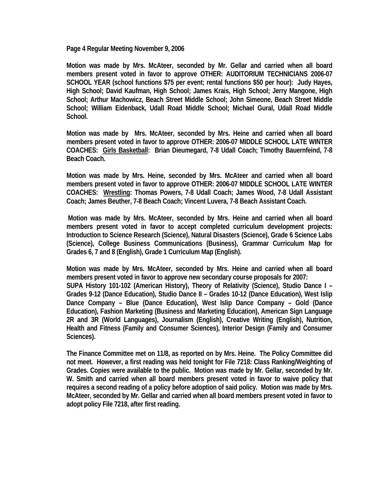**Page 4 Regular Meeting November 9, 2006** 

**Motion was made by Mrs. McAteer, seconded by Mr. Gellar and carried when all board members present voted in favor to approve OTHER: AUDITORIUM TECHNICIANS 2006-07 SCHOOL YEAR (school functions \$75 per event; rental functions \$50 per hour): Judy Hayes, High School; David Kaufman, High School; James Krais, High School; Jerry Mangone, High School; Arthur Machowicz, Beach Street Middle School; John Simeone, Beach Street Middle School; William Eidenback, Udall Road Middle School; Michael Gural, Udall Road Middle School.** 

**Motion was made by Mrs. McAteer, seconded by Mrs. Heine and carried when all board members present voted in favor to approve OTHER: 2006-07 MIDDLE SCHOOL LATE WINTER COACHES: Girls Basketball: Brian Dieumegard, 7-8 Udall Coach; Timothy Bauernfeind, 7-8 Beach Coach.** 

**Motion was made by Mrs. Heine, seconded by Mrs. McAteer and carried when all board members present voted in favor to approve OTHER: 2006-07 MIDDLE SCHOOL LATE WINTER COACHES: Wrestling: Thomas Powers, 7-8 Udall Coach; James Wood, 7-8 Udall Assistant Coach; James Beuther, 7-8 Beach Coach; Vincent Luvera, 7-8 Beach Assistant Coach.** 

 **Motion was made by Mrs. McAteer, seconded by Mrs. Heine and carried when all board members present voted in favor to accept completed curriculum development projects: Introduction to Science Research (Science), Natural Disasters (Science), Grade 6 Science Labs (Science), College Business Communications (Business), Grammar Curriculum Map for Grades 6, 7 and 8 (English), Grade 1 Curriculum Map (English).** 

**Motion was made by Mrs. McAteer, seconded by Mrs. Heine and carried when all board members present voted in favor to approve new secondary course proposals for 2007: SUPA History 101-102 (American History), Theory of Relativity (Science), Studio Dance I – Grades 9-12 (Dance Education), Studio Dance II – Grades 10-12 (Dance Education), West Islip Dance Company – Blue (Dance Education), West Islip Dance Company – Gold (Dance Education), Fashion Marketing (Business and Marketing Education), American Sign Language 2R and 3R (World Languages), Journalism (English), Creative Writing (English), Nutrition, Health and Fitness (Family and Consumer Sciences), Interior Design (Family and Consumer Sciences).** 

**The Finance Committee met on 11/8, as reported on by Mrs. Heine. The Policy Committee did not meet. However, a first reading was held tonight for File 7218: Class Ranking/Weighting of Grades. Copies were available to the public. Motion was made by Mr. Gellar, seconded by Mr. W. Smith and carried when all board members present voted in favor to waive policy that requires a second reading of a policy before adoption of said policy. Motion was made by Mrs. McAteer, seconded by Mr. Gellar and carried when all board members present voted in favor to adopt policy File 7218, after first reading.**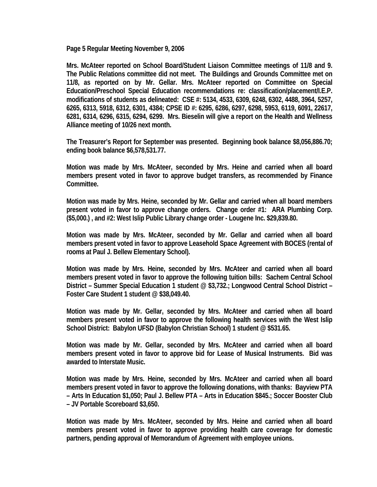**Page 5 Regular Meeting November 9, 2006** 

**Mrs. McAteer reported on School Board/Student Liaison Committee meetings of 11/8 and 9. The Public Relations committee did not meet. The Buildings and Grounds Committee met on 11/8, as reported on by Mr. Gellar. Mrs. McAteer reported on Committee on Special Education/Preschool Special Education recommendations re: classification/placement/I.E.P. modifications of students as delineated: CSE #: 5134, 4533, 6309, 6248, 6302, 4488, 3964, 5257, 6265, 6313, 5918, 6312, 6301, 4384; CPSE ID #: 6295, 6286, 6297, 6298, 5953, 6119, 6091, 22617, 6281, 6314, 6296, 6315, 6294, 6299. Mrs. Bieselin will give a report on the Health and Wellness Alliance meeting of 10/26 next month.** 

**The Treasurer's Report for September was presented. Beginning book balance \$8,056,886.70; ending book balance \$6,578,531.77.** 

**Motion was made by Mrs. McAteer, seconded by Mrs. Heine and carried when all board members present voted in favor to approve budget transfers, as recommended by Finance Committee.** 

**Motion was made by Mrs. Heine, seconded by Mr. Gellar and carried when all board members present voted in favor to approve change orders. Change order #1: ARA Plumbing Corp. (\$5,000.) , and #2: West Islip Public Library change order - Lougene Inc. \$29,839.80.** 

**Motion was made by Mrs. McAteer, seconded by Mr. Gellar and carried when all board members present voted in favor to approve Leasehold Space Agreement with BOCES (rental of rooms at Paul J. Bellew Elementary School).** 

**Motion was made by Mrs. Heine, seconded by Mrs. McAteer and carried when all board members present voted in favor to approve the following tuition bills: Sachem Central School District – Summer Special Education 1 student @ \$3,732.; Longwood Central School District – Foster Care Student 1 student @ \$38,049.40.** 

**Motion was made by Mr. Gellar, seconded by Mrs. McAteer and carried when all board members present voted in favor to approve the following health services with the West Islip School District: Babylon UFSD (Babylon Christian School) 1 student @ \$531.65.** 

**Motion was made by Mr. Gellar, seconded by Mrs. McAteer and carried when all board members present voted in favor to approve bid for Lease of Musical Instruments. Bid was awarded to Interstate Music.** 

**Motion was made by Mrs. Heine, seconded by Mrs. McAteer and carried when all board members present voted in favor to approve the following donations, with thanks: Bayview PTA – Arts In Education \$1,050; Paul J. Bellew PTA – Arts in Education \$845.; Soccer Booster Club – JV Portable Scoreboard \$3,650.** 

**Motion was made by Mrs. McAteer, seconded by Mrs. Heine and carried when all board members present voted in favor to approve providing health care coverage for domestic partners, pending approval of Memorandum of Agreement with employee unions.**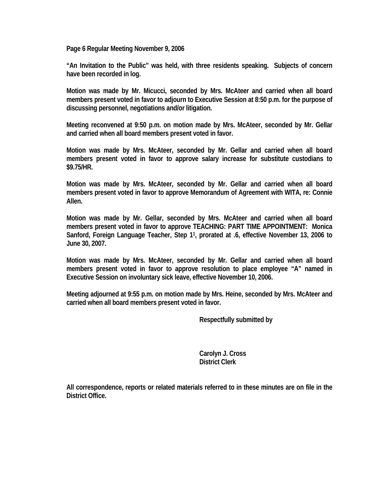**Page 6 Regular Meeting November 9, 2006** 

**"An Invitation to the Public" was held, with three residents speaking. Subjects of concern have been recorded in log.** 

**Motion was made by Mr. Micucci, seconded by Mrs. McAteer and carried when all board members present voted in favor to adjourn to Executive Session at 8:50 p.m. for the purpose of discussing personnel, negotiations and/or litigation.** 

**Meeting reconvened at 9:50 p.m. on motion made by Mrs. McAteer, seconded by Mr. Gellar and carried when all board members present voted in favor.** 

**Motion was made by Mrs. McAteer, seconded by Mr. Gellar and carried when all board members present voted in favor to approve salary increase for substitute custodians to \$9.75/HR.** 

**Motion was made by Mrs. McAteer, seconded by Mr. Gellar and carried when all board members present voted in favor to approve Memorandum of Agreement with WITA, re: Connie Allen.** 

**Motion was made by Mr. Gellar, seconded by Mrs. McAteer and carried when all board members present voted in favor to approve TEACHING: PART TIME APPOINTMENT: Monica Sanford, Foreign Language Teacher, Step 11, prorated at .6, effective November 13, 2006 to June 30, 2007.** 

**Motion was made by Mrs. McAteer, seconded by Mr. Gellar and carried when all board members present voted in favor to approve resolution to place employee "A" named in Executive Session on involuntary sick leave, effective November 10, 2006.** 

**Meeting adjourned at 9:55 p.m. on motion made by Mrs. Heine, seconded by Mrs. McAteer and carried when all board members present voted in favor.** 

 **Respectfully submitted by** 

 **Carolyn J. Cross District Clerk** 

**All correspondence, reports or related materials referred to in these minutes are on file in the District Office.**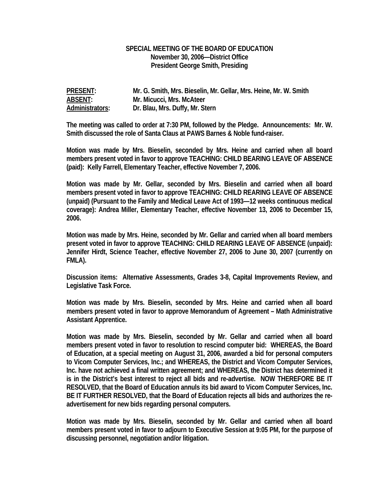## **SPECIAL MEETING OF THE BOARD OF EDUCATION November 30, 2006—District Office President George Smith, Presiding**

| <b>PRESENT:</b> | Mr. G. Smith, Mrs. Bieselin, Mr. Gellar, Mrs. Heine, Mr. W. Smith |
|-----------------|-------------------------------------------------------------------|
| <b>ABSENT:</b>  | Mr. Micucci, Mrs. McAteer                                         |
| Administrators: | Dr. Blau, Mrs. Duffy, Mr. Stern                                   |

**The meeting was called to order at 7:30 PM, followed by the Pledge. Announcements: Mr. W. Smith discussed the role of Santa Claus at PAWS Barnes & Noble fund-raiser.** 

**Motion was made by Mrs. Bieselin, seconded by Mrs. Heine and carried when all board members present voted in favor to approve TEACHING: CHILD BEARING LEAVE OF ABSENCE (paid): Kelly Farrell, Elementary Teacher, effective November 7, 2006.** 

**Motion was made by Mr. Gellar, seconded by Mrs. Bieselin and carried when all board members present voted in favor to approve TEACHING: CHILD REARING LEAVE OF ABSENCE (unpaid) (Pursuant to the Family and Medical Leave Act of 1993—12 weeks continuous medical coverage): Andrea Miller, Elementary Teacher, effective November 13, 2006 to December 15, 2006.** 

**Motion was made by Mrs. Heine, seconded by Mr. Gellar and carried when all board members present voted in favor to approve TEACHING: CHILD REARING LEAVE OF ABSENCE (unpaid): Jennifer Hirdt, Science Teacher, effective November 27, 2006 to June 30, 2007 (currently on FMLA).** 

**Discussion items: Alternative Assessments, Grades 3-8, Capital Improvements Review, and Legislative Task Force.** 

**Motion was made by Mrs. Bieselin, seconded by Mrs. Heine and carried when all board members present voted in favor to approve Memorandum of Agreement – Math Administrative Assistant Apprentice.** 

**Motion was made by Mrs. Bieselin, seconded by Mr. Gellar and carried when all board members present voted in favor to resolution to rescind computer bid: WHEREAS, the Board of Education, at a special meeting on August 31, 2006, awarded a bid for personal computers to Vicom Computer Services, Inc.; and WHEREAS, the District and Vicom Computer Services, Inc. have not achieved a final written agreement; and WHEREAS, the District has determined it is in the District's best interest to reject all bids and re-advertise. NOW THEREFORE BE IT RESOLVED, that the Board of Education annuls its bid award to Vicom Computer Services, Inc. BE IT FURTHER RESOLVED, that the Board of Education rejects all bids and authorizes the readvertisement for new bids regarding personal computers.** 

**Motion was made by Mrs. Bieselin, seconded by Mr. Gellar and carried when all board members present voted in favor to adjourn to Executive Session at 9:05 PM, for the purpose of discussing personnel, negotiation and/or litigation.**